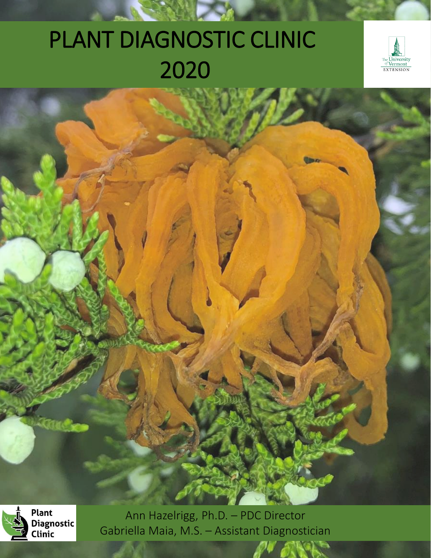# PLANT DIAGNOSTIC CLINIC 2020

 $\mathbb{R}$  . And  $\mathbb{R}$ 





Ann Hazelrigg, Ph.D. – PDC Director Gabriella Maia, M.S. – Assistant Diagnostician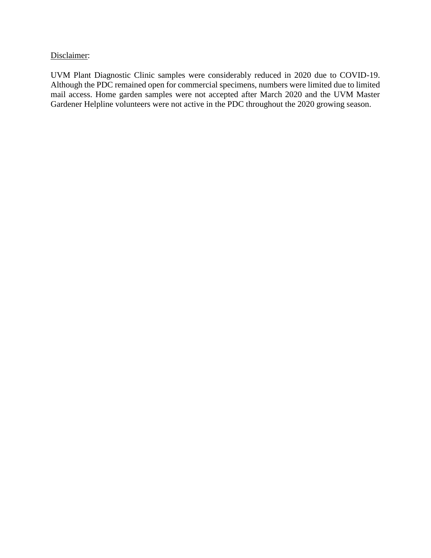## Disclaimer:

UVM Plant Diagnostic Clinic samples were considerably reduced in 2020 due to COVID-19. Although the PDC remained open for commercial specimens, numbers were limited due to limited mail access. Home garden samples were not accepted after March 2020 and the UVM Master Gardener Helpline volunteers were not active in the PDC throughout the 2020 growing season.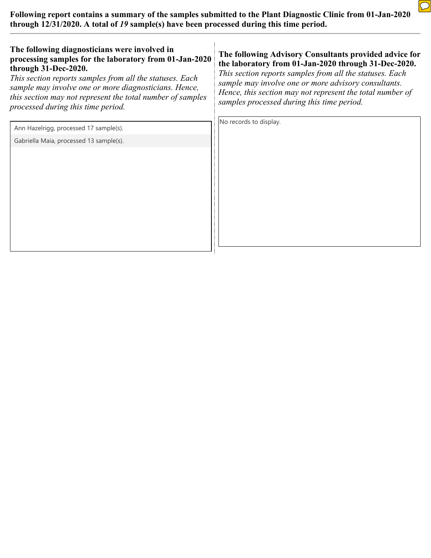## **Following report contains a summary of the samples submitted to the Plant Diagnostic Clinic from 01-Jan-2020 through 12/31/2020. A total of** *19* **sample(s) have been processed during this time period.**

 $\boxed{\bigcirc}$ 

| The following diagnosticians were involved in<br>processing samples for the laboratory from 01-Jan-2020<br>through 31-Dec-2020.<br>This section reports samples from all the statuses. Each<br>sample may involve one or more diagnosticians. Hence,<br>this section may not represent the total number of samples<br>processed during this time period. | The following Advisory Consultants provided advice for<br>the laboratory from 01-Jan-2020 through 31-Dec-2020.<br>This section reports samples from all the statuses. Each<br>sample may involve one or more advisory consultants.<br>Hence, this section may not represent the total number of<br>samples processed during this time period. |
|----------------------------------------------------------------------------------------------------------------------------------------------------------------------------------------------------------------------------------------------------------------------------------------------------------------------------------------------------------|-----------------------------------------------------------------------------------------------------------------------------------------------------------------------------------------------------------------------------------------------------------------------------------------------------------------------------------------------|
| Ann Hazelrigg, processed 17 sample(s).                                                                                                                                                                                                                                                                                                                   | No records to display.                                                                                                                                                                                                                                                                                                                        |
| Gabriella Maia, processed 13 sample(s).                                                                                                                                                                                                                                                                                                                  |                                                                                                                                                                                                                                                                                                                                               |
|                                                                                                                                                                                                                                                                                                                                                          |                                                                                                                                                                                                                                                                                                                                               |
|                                                                                                                                                                                                                                                                                                                                                          |                                                                                                                                                                                                                                                                                                                                               |
|                                                                                                                                                                                                                                                                                                                                                          |                                                                                                                                                                                                                                                                                                                                               |
|                                                                                                                                                                                                                                                                                                                                                          |                                                                                                                                                                                                                                                                                                                                               |
|                                                                                                                                                                                                                                                                                                                                                          |                                                                                                                                                                                                                                                                                                                                               |
|                                                                                                                                                                                                                                                                                                                                                          |                                                                                                                                                                                                                                                                                                                                               |
|                                                                                                                                                                                                                                                                                                                                                          |                                                                                                                                                                                                                                                                                                                                               |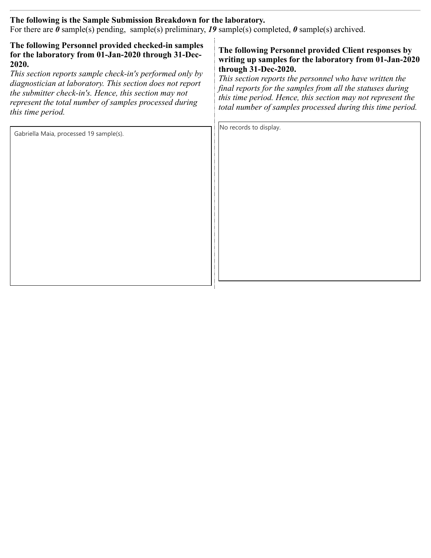## **The following is the Sample Submission Breakdown for the laboratory.**

For there are *0* sample(s) pending, sample(s) preliminary, *19* sample(s) completed, *0* sample(s) archived.

| The following Personnel provided checked-in samples |
|-----------------------------------------------------|
| for the laboratory from 01-Jan-2020 through 31-Dec- |
| 2020.                                               |

*This section reports sample check-in's performed only by diagnostician at laboratory. This section does not report the submitter check-in's. Hence, this section may not represent the total number of samples processed during this time period.*

#### **The following Personnel provided Client responses by writing up samples for the laboratory from 01-Jan-2020 through 31-Dec-2020.**

*This section reports the personnel who have written the final reports for the samples from all the statuses during this time period. Hence, this section may not represent the total number of samples processed during this time period.*

| Gabriella Maia, processed 19 sample(s). | No records to display. |
|-----------------------------------------|------------------------|
|                                         |                        |
|                                         |                        |
|                                         |                        |
|                                         |                        |
|                                         |                        |
|                                         |                        |
|                                         |                        |
|                                         |                        |
|                                         |                        |
|                                         |                        |
|                                         |                        |
|                                         |                        |
|                                         |                        |
|                                         |                        |
|                                         |                        |
|                                         |                        |
|                                         |                        |
|                                         |                        |
|                                         |                        |
|                                         |                        |
|                                         |                        |
|                                         |                        |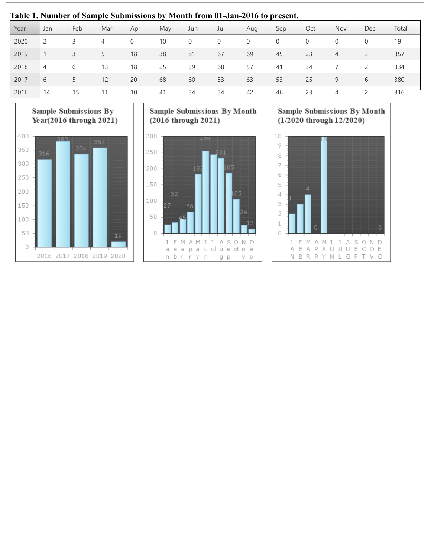### **Table 1. Number of Sample Submissions by Month from 01-Jan-2016 to present.**

| Year | Jan            | Feb | Mar | Apr | May | Jun | Jul | Aug            | Sep | Oct | Nov | Dec            | Total |
|------|----------------|-----|-----|-----|-----|-----|-----|----------------|-----|-----|-----|----------------|-------|
| 2020 | 2              | 3   | 4   | 0   | 10  | 0   | 0   | $\overline{0}$ | 0   | 0   | 0   | 0              | 19    |
| 2019 |                | 3   | 5   | 18  | 38  | 81  | 67  | 69             | 45  | 23  | 4   | 3              | 357   |
| 2018 | $\overline{4}$ | b   | 13  | 18  | 25  | 59  | 68  | 57             | 41  | 34  |     | $\overline{2}$ | 334   |
| 2017 | 6              | 5   | 12  | 20  | 68  | 60  | 53  | 63             | 53  | 25  | 9   | 6              | 380   |
| 2016 | 14             |     |     |     |     |     | 54  | 42             | 46  |     |     |                | 316   |



Sample Submissions By Month (2016 through 2021)



Sample Submissions By Month  $(1/2020$  through  $12/2020$ )

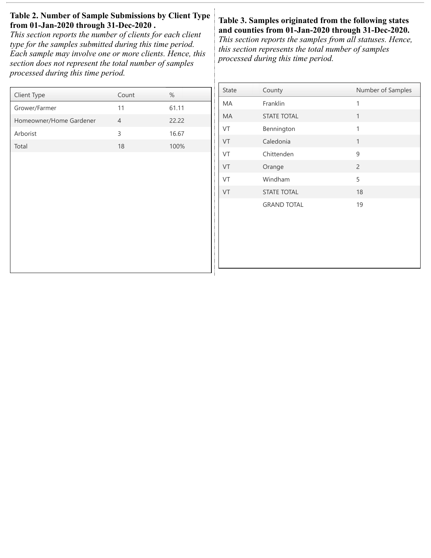# **Table 2. Number of Sample Submissions by Client Type from 01-Jan-2020 through 31-Dec-2020 .**

*This section reports the number of clients for each client type for the samples submitted during this time period. Each sample may involve one or more clients. Hence, this section does not represent the total number of samples processed during this time period.*

| Client Type             | Count          | $\%$  |
|-------------------------|----------------|-------|
| Grower/Farmer           | 11             | 61.11 |
| Homeowner/Home Gardener | $\overline{4}$ | 22.22 |
| Arborist                | 3              | 16.67 |
| Total                   | 18             | 100%  |
|                         |                |       |
|                         |                |       |
|                         |                |       |
|                         |                |       |
|                         |                |       |
|                         |                |       |
|                         |                |       |
|                         |                |       |
|                         |                |       |

# **Table 3. Samples originated from the following states and counties from 01-Jan-2020 through 31-Dec-2020.**

*This section reports the samples from all statuses. Hence, this section represents the total number of samples processed during this time period.*

| <b>State</b> | County             | Number of Samples |
|--------------|--------------------|-------------------|
| <b>MA</b>    | Franklin           | 1                 |
| <b>MA</b>    | <b>STATE TOTAL</b> | $\mathbf{1}$      |
| VT           | Bennington         | 1                 |
| VT           | Caledonia          | $\mathbf{1}$      |
| VT           | Chittenden         | 9                 |
| VT           | Orange             | $\overline{c}$    |
| VT           | Windham            | 5                 |
| VT           | <b>STATE TOTAL</b> | 18                |
|              | <b>GRAND TOTAL</b> | 19                |
|              |                    |                   |
|              |                    |                   |
|              |                    |                   |
|              |                    |                   |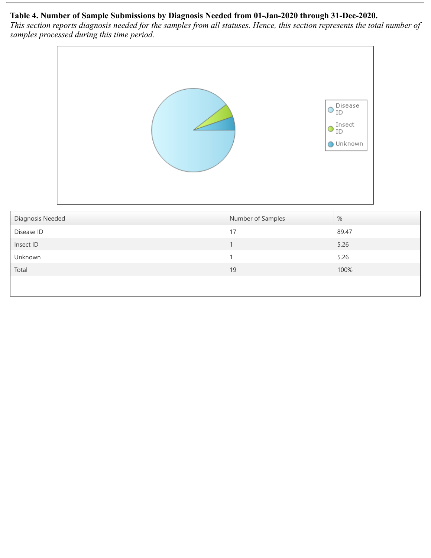# **Table 4. Number of Sample Submissions by Diagnosis Needed from 01-Jan-2020 through 31-Dec-2020.**

*This section reports diagnosis needed for the samples from all statuses. Hence, this section represents the total number of samples processed during this time period.*



| Diagnosis Needed | Number of Samples | %     |
|------------------|-------------------|-------|
| Disease ID       | 17                | 89.47 |
| Insect ID        |                   | 5.26  |
| Unknown          |                   | 5.26  |
| Total            | 19                | 100%  |
|                  |                   |       |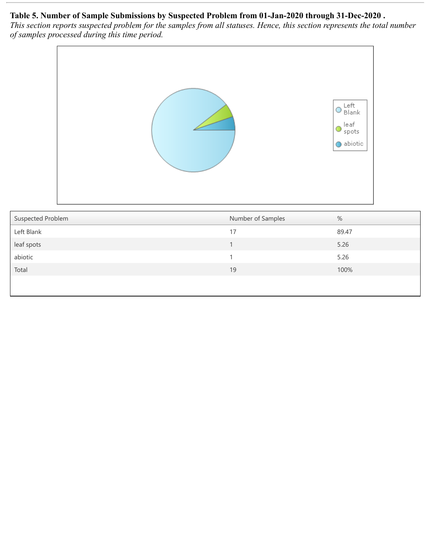## **Table 5. Number of Sample Submissions by Suspected Problem from 01-Jan-2020 through 31-Dec-2020 .**

*This section reports suspected problem for the samples from all statuses. Hence, this section represents the total number of samples processed during this time period.*



| Suspected Problem | Number of Samples | %     |
|-------------------|-------------------|-------|
| Left Blank        | 17                | 89.47 |
| leaf spots        |                   | 5.26  |
| abiotic           |                   | 5.26  |
| Total             | 19                | 100%  |
|                   |                   |       |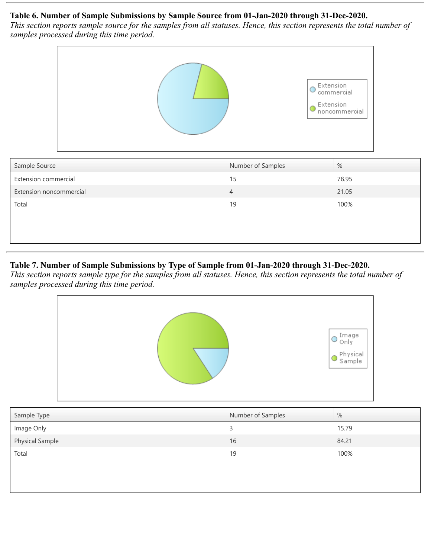## **Table 6. Number of Sample Submissions by Sample Source from 01-Jan-2020 through 31-Dec-2020.**

*This section reports sample source for the samples from all statuses. Hence, this section represents the total number of samples processed during this time period.*



# **Table 7. Number of Sample Submissions by Type of Sample from 01-Jan-2020 through 31-Dec-2020.**

*This section reports sample type for the samples from all statuses. Hence, this section represents the total number of samples processed during this time period.*



| Sample Type     | Number of Samples | %     |
|-----------------|-------------------|-------|
| Image Only      | 3                 | 15.79 |
| Physical Sample | 16                | 84.21 |
| Total           | 19                | 100%  |
|                 |                   |       |
|                 |                   |       |
|                 |                   |       |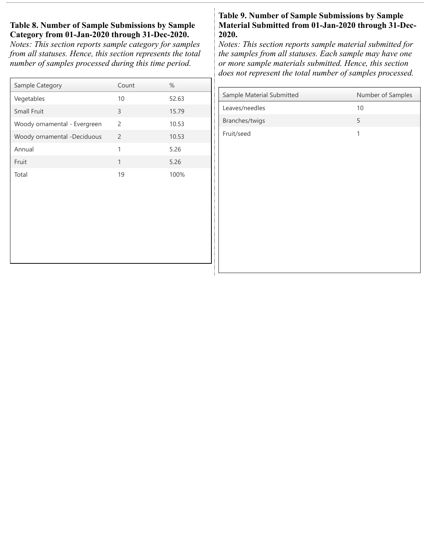## **Table 8. Number of Sample Submissions by Sample Category from 01-Jan-2020 through 31-Dec-2020.**

*Notes: This section reports sample category for samples from all statuses. Hence, this section represents the total number of samples processed during this time period.*

| Sample Category              | Count          | $\%$  |
|------------------------------|----------------|-------|
| Vegetables                   | 10             | 52.63 |
| Small Fruit                  | 3              | 15.79 |
| Woody ornamental - Evergreen | $\overline{c}$ | 10.53 |
| Woody ornamental -Deciduous  | $\overline{2}$ | 10.53 |
| Annual                       | 1              | 5.26  |
| Fruit                        | $\mathbf{1}$   | 5.26  |
| Total                        | 19             | 100%  |
|                              |                |       |
|                              |                |       |

#### **Table 9. Number of Sample Submissions by Sample Material Submitted from 01-Jan-2020 through 31-Dec-2020.**

*Notes: This section reports sample material submitted for the samples from all statuses. Each sample may have one or more sample materials submitted. Hence, this section does not represent the total number of samples processed.*

| Sample Material Submitted | Number of Samples |
|---------------------------|-------------------|
| Leaves/needles            | 10                |
| Branches/twigs            | 5                 |
| Fruit/seed                | $\mathbf{1}$      |
|                           |                   |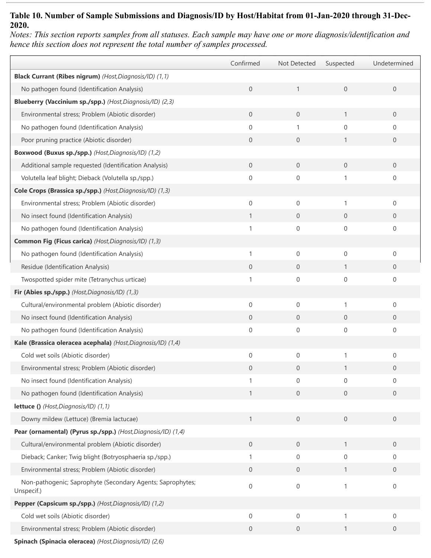## **Table 10. Number of Sample Submissions and Diagnosis/ID by Host/Habitat from 01-Jan-2020 through 31-Dec-2020.**

*Notes: This section reports samples from all statuses. Each sample may have one or more diagnosis/identification and hence this section does not represent the total number of samples processed.*

|                                                                          | Confirmed      | Not Detected        | Suspected      | Undetermined   |
|--------------------------------------------------------------------------|----------------|---------------------|----------------|----------------|
| Black Currant (Ribes nigrum) (Host, Diagnosis/ID) (1,1)                  |                |                     |                |                |
| No pathogen found (Identification Analysis)                              | $\overline{0}$ | $\mathbf{1}$        | $\overline{0}$ | $\overline{0}$ |
| Blueberry (Vaccinium sp./spp.) (Host, Diagnosis/ID) (2,3)                |                |                     |                |                |
| Environmental stress; Problem (Abiotic disorder)                         | $\overline{0}$ | $\overline{0}$      | $\mathbf{1}$   | $\overline{0}$ |
| No pathogen found (Identification Analysis)                              | $\mathbf{0}$   | 1                   | $\Omega$       | $\Omega$       |
| Poor pruning practice (Abiotic disorder)                                 | $\overline{0}$ | $\overline{0}$      | $\mathbf{1}$   | $\overline{0}$ |
| Boxwood (Buxus sp./spp.) (Host, Diagnosis/ID) (1,2)                      |                |                     |                |                |
| Additional sample requested (Identification Analysis)                    | $\overline{0}$ | $\overline{0}$      | $\overline{0}$ | $\overline{0}$ |
| Volutella leaf blight; Dieback (Volutella sp./spp.)                      | $\mathbf{0}$   | $\mathbf 0$         |                | $\mathbf{0}$   |
| Cole Crops (Brassica sp./spp.) (Host, Diagnosis/ID) (1,3)                |                |                     |                |                |
| Environmental stress; Problem (Abiotic disorder)                         | $\mathbf 0$    | $\mathbf 0$         | 1              | $\mathbf{0}$   |
| No insect found (Identification Analysis)                                | $\mathbf{1}$   | $\overline{0}$      | $\overline{0}$ | $\overline{0}$ |
| No pathogen found (Identification Analysis)                              |                | $\mathbf 0$         | $\Omega$       | $\mathbf{0}$   |
| Common Fig (Ficus carica) (Host, Diagnosis/ID) (1,3)                     |                |                     |                |                |
| No pathogen found (Identification Analysis)                              | $\mathbf{1}$   | $\mathbf 0$         | $\mathbf 0$    | $\mathbf{0}$   |
| Residue (Identification Analysis)                                        | $\overline{0}$ | $\overline{0}$      | $\mathbf{1}$   | $\overline{0}$ |
| Twospotted spider mite (Tetranychus urticae)                             | $\mathbf{1}$   | $\mathbf 0$         | $\mathbf 0$    | $\mathbf{0}$   |
| Fir (Abies sp./spp.) (Host, Diagnosis/ID) (1,3)                          |                |                     |                |                |
| Cultural/environmental problem (Abiotic disorder)                        | $\mathbf 0$    | $\mathbf 0$         |                | $\mathbf{0}$   |
| No insect found (Identification Analysis)                                | $\overline{0}$ | $\overline{0}$      | $\overline{0}$ | $\overline{0}$ |
| No pathogen found (Identification Analysis)                              | $\mathbf{0}$   | $\mathbf 0$         | $\mathbf 0$    | $\mathbf{0}$   |
| Kale (Brassica oleracea acephala) (Host, Diagnosis/ID) (1,4)             |                |                     |                |                |
| Cold wet soils (Abiotic disorder)                                        | $\mathbf 0$    | $\boldsymbol{0}$    |                | $\mathbf{0}$   |
| Environmental stress; Problem (Abiotic disorder)                         | $\overline{0}$ | $\mathbf 0$         | 1              | $\overline{0}$ |
| No insect found (Identification Analysis)                                |                | $\mathbf 0$         | $\mathbf 0$    | $\mathbf 0$    |
| No pathogen found (Identification Analysis)                              | $\mathbf{1}$   | $\overline{0}$      | $\overline{0}$ | $\overline{0}$ |
| lettuce () (Host, Diagnosis/ID) (1,1)                                    |                |                     |                |                |
| Downy mildew (Lettuce) (Bremia lactucae)                                 | $\mathbf{1}$   | $\overline{0}$      | $\overline{0}$ | $\overline{0}$ |
| Pear (ornamental) (Pyrus sp./spp.) (Host, Diagnosis/ID) (1,4)            |                |                     |                |                |
| Cultural/environmental problem (Abiotic disorder)                        | $\mathbf{0}$   | $\overline{0}$      | $\mathbf{1}$   | $\overline{0}$ |
| Dieback; Canker; Twig blight (Botryosphaeria sp./spp.)                   | 1              | 0                   | $\mathbf 0$    | 0              |
| Environmental stress; Problem (Abiotic disorder)                         | $\mathbf{0}$   | $\overline{0}$      | $\mathbf{1}$   | $\overline{0}$ |
| Non-pathogenic; Saprophyte (Secondary Agents; Saprophytes;<br>Unspecif.) | $\mathbf{0}$   | 0                   | 1              | 0              |
| Pepper (Capsicum sp./spp.) (Host,Diagnosis/ID) (1,2)                     |                |                     |                |                |
| Cold wet soils (Abiotic disorder)                                        | $\mathbf 0$    | $\mathsf{O}\xspace$ |                | $\mathbf{0}$   |
| Environmental stress; Problem (Abiotic disorder)                         | $\overline{0}$ | $\mathbf 0$         | $\mathbf{1}$   | $\overline{0}$ |
| Spinach (Spinacia oleracea) (Host, Diagnosis/ID) (2,6)                   |                |                     |                |                |